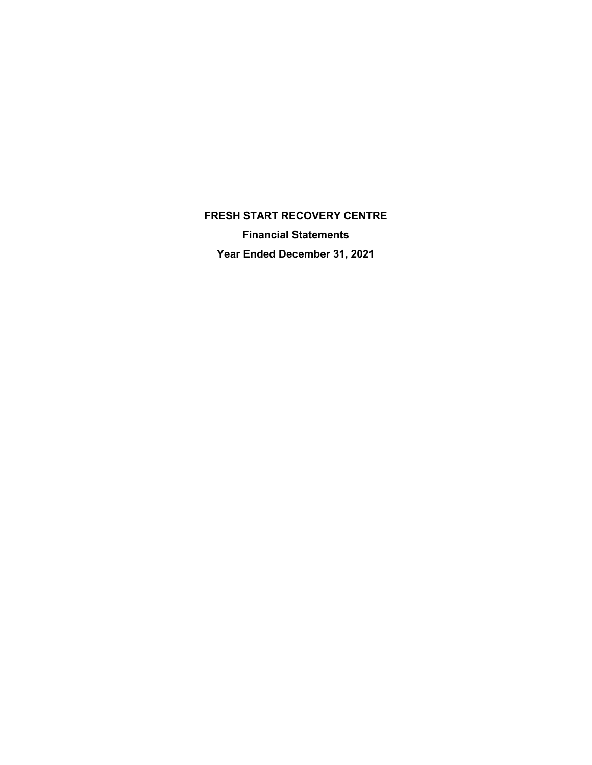**FRESH START RECOVERY CENTRE Financial Statements Year Ended December 31, 2021**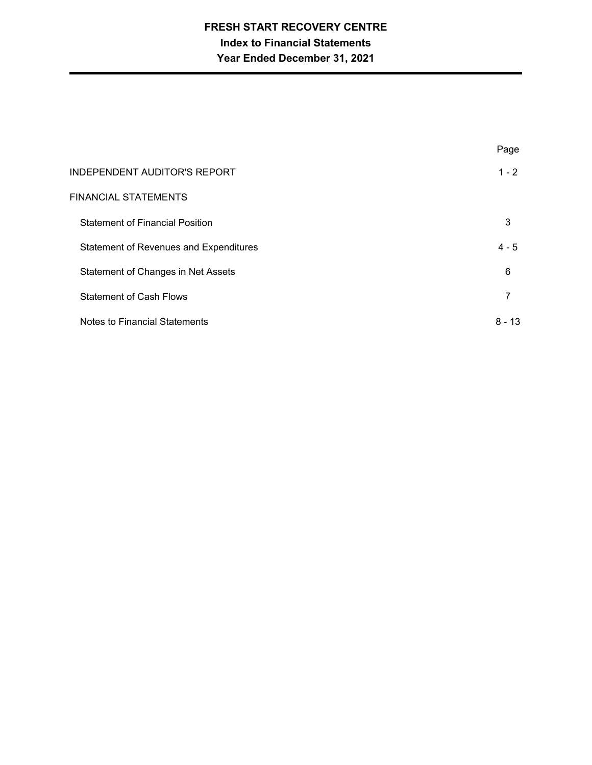# **FRESH START RECOVERY CENTRE Index to Financial Statements Year Ended December 31, 2021**

|                                               | Page     |
|-----------------------------------------------|----------|
| <b>INDEPENDENT AUDITOR'S REPORT</b>           | $1 - 2$  |
| FINANCIAL STATEMENTS                          |          |
| <b>Statement of Financial Position</b>        | 3        |
| <b>Statement of Revenues and Expenditures</b> | $4 - 5$  |
| Statement of Changes in Net Assets            | 6        |
| <b>Statement of Cash Flows</b>                | 7        |
| Notes to Financial Statements                 | $8 - 13$ |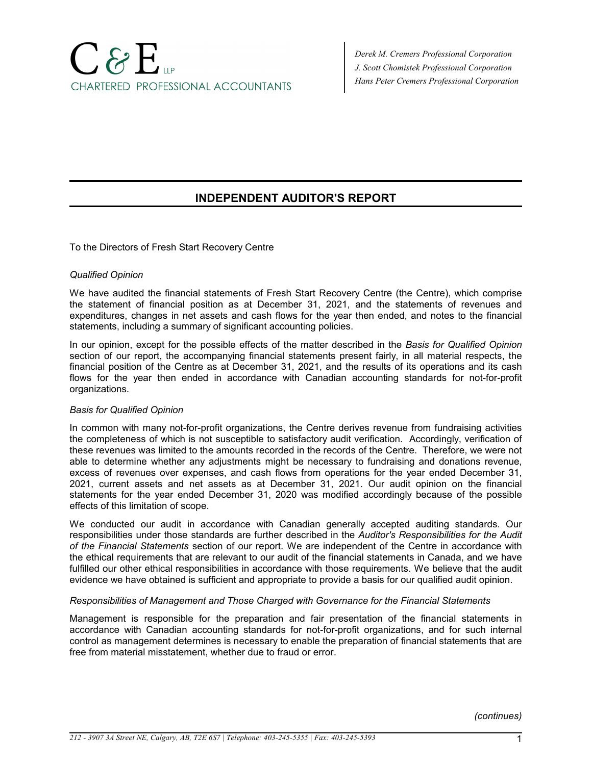# $C$ & $E$ CHARTERED PROFESSIONAL ACCOUNTANTS

*Derek M. Cremers Professional Corporation J. Scott Chomistek Professional Corporation Hans Peter Cremers Professional Corporation*

# **INDEPENDENT AUDITOR'S REPORT**

To the Directors of Fresh Start Recovery Centre

# *Qualified Opinion*

We have audited the financial statements of Fresh Start Recovery Centre (the Centre), which comprise the statement of financial position as at December 31, 2021, and the statements of revenues and expenditures, changes in net assets and cash flows for the year then ended, and notes to the financial statements, including a summary of significant accounting policies.

In our opinion, except for the possible effects of the matter described in the *Basis for Qualified Opinion* section of our report, the accompanying financial statements present fairly, in all material respects, the financial position of the Centre as at December 31, 2021, and the results of its operations and its cash flows for the year then ended in accordance with Canadian accounting standards for not-for-profit organizations.

# *Basis for Qualified Opinion*

In common with many not-for-profit organizations, the Centre derives revenue from fundraising activities the completeness of which is not susceptible to satisfactory audit verification. Accordingly, verification of these revenues was limited to the amounts recorded in the records of the Centre. Therefore, we were not able to determine whether any adjustments might be necessary to fundraising and donations revenue, excess of revenues over expenses, and cash flows from operations for the year ended December 31, 2021, current assets and net assets as at December 31, 2021. Our audit opinion on the financial statements for the year ended December 31, 2020 was modified accordingly because of the possible effects of this limitation of scope.

We conducted our audit in accordance with Canadian generally accepted auditing standards. Our responsibilities under those standards are further described in the *Auditor's Responsibilities for the Audit of the Financial Statements* section of our report. We are independent of the Centre in accordance with the ethical requirements that are relevant to our audit of the financial statements in Canada, and we have fulfilled our other ethical responsibilities in accordance with those requirements. We believe that the audit evidence we have obtained is sufficient and appropriate to provide a basis for our qualified audit opinion.

# *Responsibilities of Management and Those Charged with Governance for the Financial Statements*

Management is responsible for the preparation and fair presentation of the financial statements in accordance with Canadian accounting standards for not-for-profit organizations, and for such internal control as management determines is necessary to enable the preparation of financial statements that are free from material misstatement, whether due to fraud or error.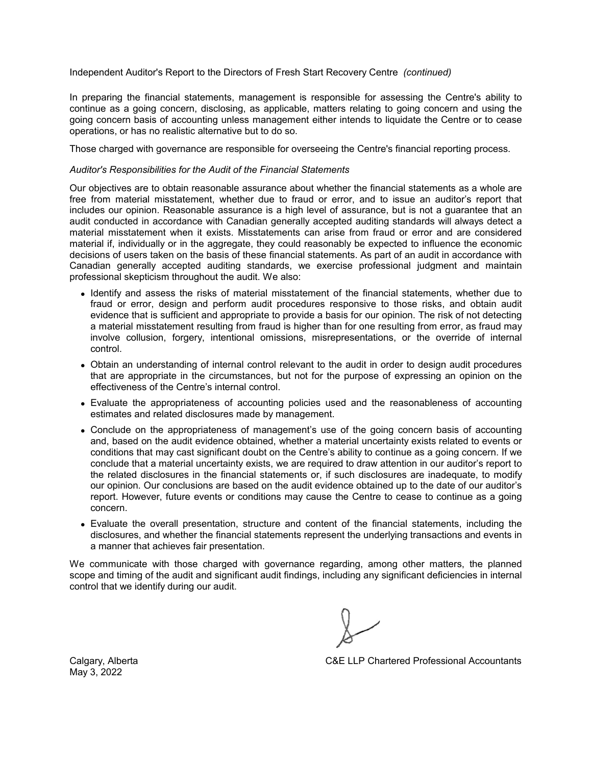#### Independent Auditor's Report to the Directors of Fresh Start Recovery Centre *(continued)*

In preparing the financial statements, management is responsible for assessing the Centre's ability to continue as a going concern, disclosing, as applicable, matters relating to going concern and using the going concern basis of accounting unless management either intends to liquidate the Centre or to cease operations, or has no realistic alternative but to do so.

Those charged with governance are responsible for overseeing the Centre's financial reporting process.

#### *Auditor's Responsibilities for the Audit of the Financial Statements*

Our objectives are to obtain reasonable assurance about whether the financial statements as a whole are free from material misstatement, whether due to fraud or error, and to issue an auditor's report that includes our opinion. Reasonable assurance is a high level of assurance, but is not a guarantee that an audit conducted in accordance with Canadian generally accepted auditing standards will always detect a material misstatement when it exists. Misstatements can arise from fraud or error and are considered material if, individually or in the aggregate, they could reasonably be expected to influence the economic decisions of users taken on the basis of these financial statements. As part of an audit in accordance with Canadian generally accepted auditing standards, we exercise professional judgment and maintain professional skepticism throughout the audit. We also:

- Identify and assess the risks of material misstatement of the financial statements, whether due to fraud or error, design and perform audit procedures responsive to those risks, and obtain audit evidence that is sufficient and appropriate to provide a basis for our opinion. The risk of not detecting a material misstatement resulting from fraud is higher than for one resulting from error, as fraud may involve collusion, forgery, intentional omissions, misrepresentations, or the override of internal control.
- Obtain an understanding of internal control relevant to the audit in order to design audit procedures that are appropriate in the circumstances, but not for the purpose of expressing an opinion on the effectiveness of the Centre's internal control.
- Evaluate the appropriateness of accounting policies used and the reasonableness of accounting estimates and related disclosures made by management.
- Conclude on the appropriateness of management's use of the going concern basis of accounting and, based on the audit evidence obtained, whether a material uncertainty exists related to events or conditions that may cast significant doubt on the Centre's ability to continue as a going concern. If we conclude that a material uncertainty exists, we are required to draw attention in our auditor's report to the related disclosures in the financial statements or, if such disclosures are inadequate, to modify our opinion. Our conclusions are based on the audit evidence obtained up to the date of our auditor's report. However, future events or conditions may cause the Centre to cease to continue as a going concern.
- Evaluate the overall presentation, structure and content of the financial statements, including the disclosures, and whether the financial statements represent the underlying transactions and events in a manner that achieves fair presentation.

We communicate with those charged with governance regarding, among other matters, the planned scope and timing of the audit and significant audit findings, including any significant deficiencies in internal control that we identify during our audit.

Calgary, Alberta C&E LLP Chartered Professional Accountants

May 3, 2022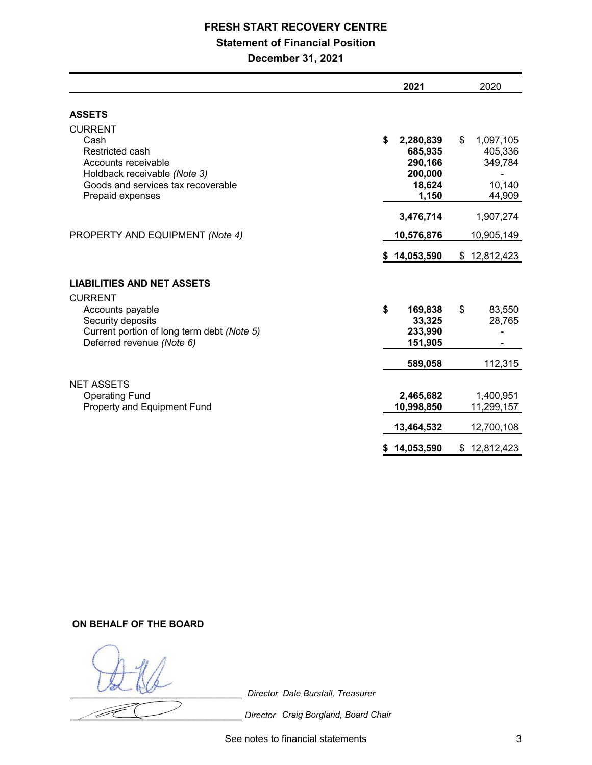# **FRESH START RECOVERY CENTRE**

# **Statement of Financial Position**

**December 31, 2021**

| <b>ASSETS</b><br><b>CURRENT</b><br>Cash<br>\$<br>\$<br>2,280,839<br>Restricted cash<br>685,935<br>Accounts receivable<br>290,166                                                          | 1,097,105<br>405,336<br>349,784 |
|-------------------------------------------------------------------------------------------------------------------------------------------------------------------------------------------|---------------------------------|
|                                                                                                                                                                                           |                                 |
| 200,000<br>Holdback receivable (Note 3)<br>Goods and services tax recoverable<br>18,624<br>1,150<br>Prepaid expenses                                                                      | 10,140<br>44,909                |
| 3,476,714<br>PROPERTY AND EQUIPMENT (Note 4)<br>10,576,876                                                                                                                                | 1,907,274<br>10,905,149         |
| \$14,053,590<br>\$12,812,423                                                                                                                                                              |                                 |
| <b>LIABILITIES AND NET ASSETS</b>                                                                                                                                                         |                                 |
| <b>CURRENT</b><br>\$<br>Accounts payable<br>169,838<br>\$<br>Security deposits<br>33,325<br>Current portion of long term debt (Note 5)<br>233,990<br>Deferred revenue (Note 6)<br>151,905 | 83,550<br>28,765                |
| 589,058                                                                                                                                                                                   | 112,315                         |
| <b>NET ASSETS</b><br><b>Operating Fund</b><br>2,465,682<br>Property and Equipment Fund<br>10,998,850                                                                                      | 1,400,951<br>11,299,157         |
| 13,464,532                                                                                                                                                                                | 12,700,108                      |
| 14,053,590<br>\$12,812,423<br>S.                                                                                                                                                          |                                 |

**ON BEHALF OF THE BOARD**

\_\_\_\_\_\_\_\_\_\_\_\_\_\_\_\_\_\_\_\_\_\_\_\_\_\_\_\_\_ *Director Dale Burstall, Treasurer*

**Conserved Chair** *Director* Craig Borgland, Board Chair

See notes to financial statements 3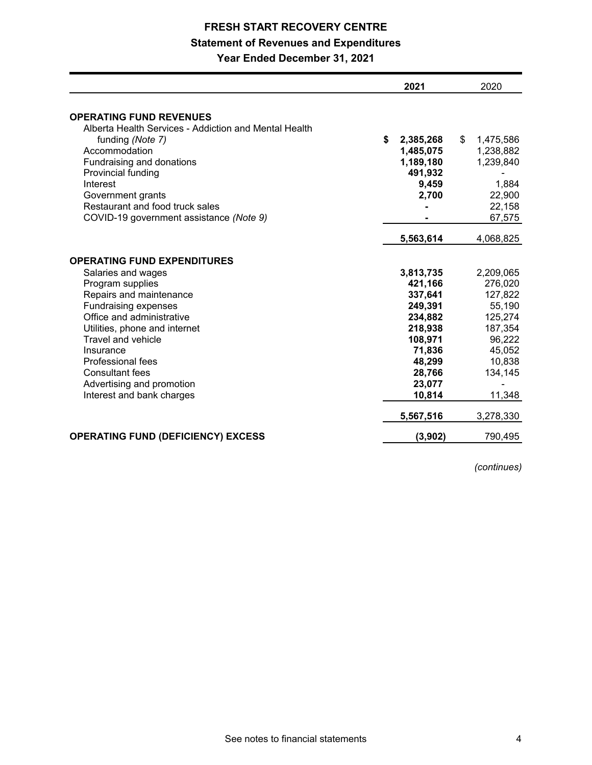# **FRESH START RECOVERY CENTRE Statement of Revenues and Expenditures**

**Year Ended December 31, 2021**

|                                                                                         | 2021            | 2020            |
|-----------------------------------------------------------------------------------------|-----------------|-----------------|
| <b>OPERATING FUND REVENUES</b><br>Alberta Health Services - Addiction and Mental Health |                 |                 |
| funding (Note 7)                                                                        | \$<br>2,385,268 | \$<br>1,475,586 |
| Accommodation                                                                           | 1,485,075       | 1,238,882       |
| Fundraising and donations                                                               | 1,189,180       | 1,239,840       |
| Provincial funding                                                                      | 491,932         |                 |
| Interest                                                                                | 9,459           | 1,884           |
| Government grants                                                                       | 2,700           | 22,900          |
| Restaurant and food truck sales                                                         |                 | 22,158          |
| COVID-19 government assistance (Note 9)                                                 |                 | 67,575          |
|                                                                                         | 5,563,614       | 4,068,825       |
| <b>OPERATING FUND EXPENDITURES</b>                                                      |                 |                 |
| Salaries and wages                                                                      | 3,813,735       | 2,209,065       |
| Program supplies                                                                        | 421,166         | 276,020         |
| Repairs and maintenance                                                                 | 337,641         | 127,822         |
| <b>Fundraising expenses</b>                                                             | 249,391         | 55,190          |
| Office and administrative                                                               | 234,882         | 125,274         |
| Utilities, phone and internet                                                           | 218,938         | 187,354         |
| Travel and vehicle                                                                      | 108,971         | 96,222          |
| Insurance                                                                               | 71,836          | 45,052          |
| <b>Professional fees</b>                                                                | 48,299          | 10,838          |
| <b>Consultant fees</b>                                                                  | 28,766          | 134,145         |
| Advertising and promotion                                                               | 23,077          |                 |
| Interest and bank charges                                                               | 10,814          | 11,348          |
|                                                                                         | 5,567,516       | 3,278,330       |
| <b>OPERATING FUND (DEFICIENCY) EXCESS</b>                                               | (3,902)         | 790,495         |

*(continues)*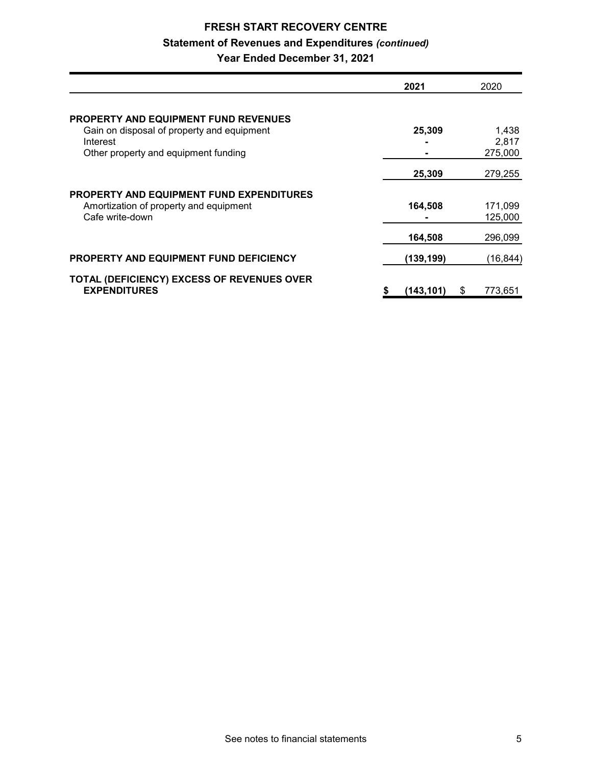# **FRESH START RECOVERY CENTRE Statement of Revenues and Expenditures** *(continued)* **Year Ended December 31, 2021**

|                                                 | 2021            | 2020         |
|-------------------------------------------------|-----------------|--------------|
|                                                 |                 |              |
| PROPERTY AND EQUIPMENT FUND REVENUES            |                 |              |
| Gain on disposal of property and equipment      | 25,309          | 1,438        |
| Interest                                        |                 | 2,817        |
| Other property and equipment funding            |                 | 275,000      |
|                                                 | 25,309          | 279,255      |
| <b>PROPERTY AND EQUIPMENT FUND EXPENDITURES</b> |                 |              |
| Amortization of property and equipment          | 164,508         | 171,099      |
| Cafe write-down                                 |                 | 125.000      |
|                                                 | 164,508         | 296,099      |
| <b>PROPERTY AND EQUIPMENT FUND DEFICIENCY</b>   | (139,199)       | (16, 844)    |
| TOTAL (DEFICIENCY) EXCESS OF REVENUES OVER      |                 |              |
| <b>EXPENDITURES</b>                             | (143, 101)<br>5 | 773,651<br>S |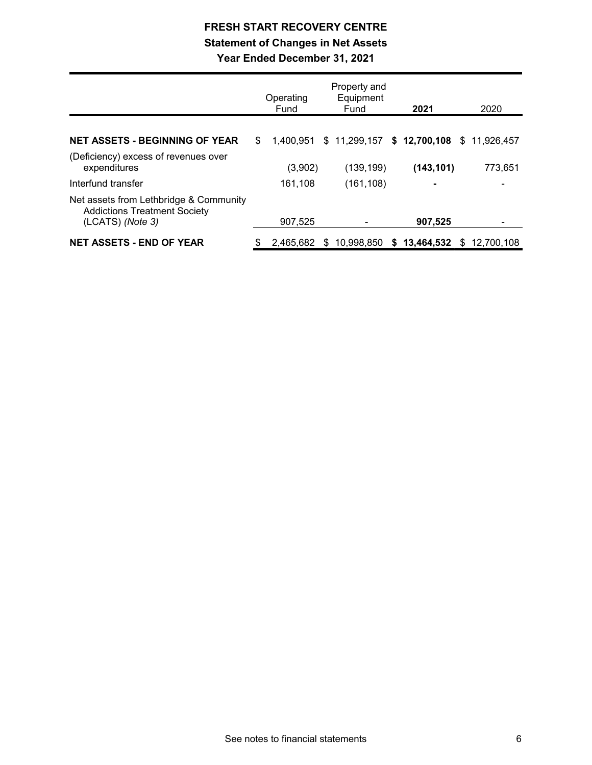# **FRESH START RECOVERY CENTRE Statement of Changes in Net Assets Year Ended December 31, 2021**

|                                                                                                   | Property and<br>Equipment<br>Operating<br>Fund<br>Fund |           |  | 2021                                      | 2020 |                            |  |         |
|---------------------------------------------------------------------------------------------------|--------------------------------------------------------|-----------|--|-------------------------------------------|------|----------------------------|--|---------|
| <b>NET ASSETS - BEGINNING OF YEAR</b>                                                             | \$.                                                    | 1.400.951 |  | $$11,299,157$ $$12,700,108$ $$11,926,457$ |      |                            |  |         |
| (Deficiency) excess of revenues over<br>expenditures                                              |                                                        | (3,902)   |  | (139, 199)                                |      | (143, 101)                 |  | 773,651 |
| Interfund transfer                                                                                |                                                        | 161,108   |  | (161, 108)                                |      | ٠                          |  |         |
| Net assets from Lethbridge & Community<br><b>Addictions Treatment Society</b><br>(LCATS) (Note 3) |                                                        | 907.525   |  |                                           |      | 907,525                    |  |         |
| <b>NET ASSETS - END OF YEAR</b>                                                                   | \$                                                     | 2.465.682 |  | \$10,998,850                              |      | $$13,464,532 \$12,700,108$ |  |         |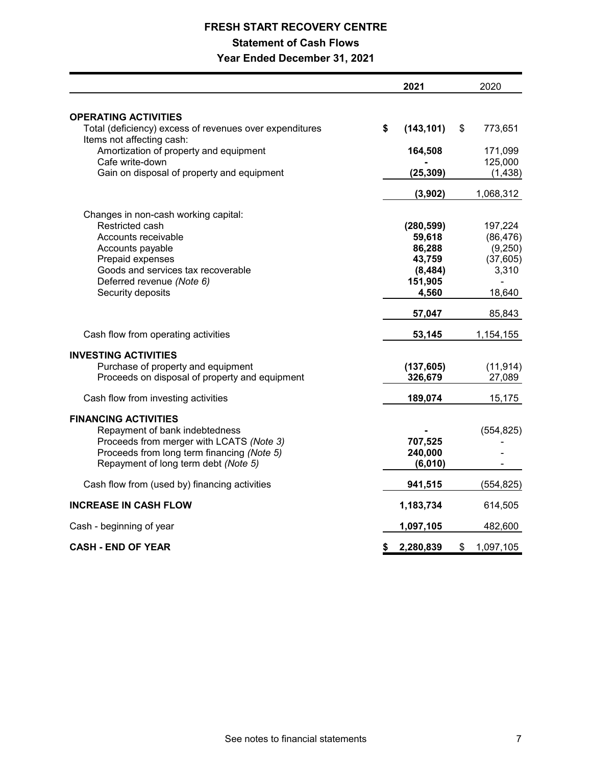# **FRESH START RECOVERY CENTRE Statement of Cash Flows Year Ended December 31, 2021**

|                                                                                        | 2021             | 2020            |
|----------------------------------------------------------------------------------------|------------------|-----------------|
|                                                                                        |                  |                 |
| <b>OPERATING ACTIVITIES</b><br>Total (deficiency) excess of revenues over expenditures | \$<br>(143, 101) | \$<br>773,651   |
| Items not affecting cash:                                                              |                  |                 |
| Amortization of property and equipment                                                 | 164,508          | 171,099         |
| Cafe write-down                                                                        |                  | 125,000         |
| Gain on disposal of property and equipment                                             | (25, 309)        | (1, 438)        |
|                                                                                        | (3,902)          | 1,068,312       |
| Changes in non-cash working capital:                                                   |                  |                 |
| Restricted cash                                                                        | (280, 599)       | 197,224         |
| Accounts receivable                                                                    | 59,618           | (86, 476)       |
| Accounts payable                                                                       | 86,288           | (9,250)         |
| Prepaid expenses                                                                       | 43,759           | (37,605)        |
| Goods and services tax recoverable                                                     | (8, 484)         | 3,310           |
| Deferred revenue (Note 6)                                                              | 151,905          |                 |
| Security deposits                                                                      | 4,560            | 18,640          |
|                                                                                        | 57,047           | 85,843          |
| Cash flow from operating activities                                                    | 53,145           | 1,154,155       |
| <b>INVESTING ACTIVITIES</b>                                                            |                  |                 |
| Purchase of property and equipment                                                     | (137, 605)       | (11, 914)       |
| Proceeds on disposal of property and equipment                                         | 326,679          | 27,089          |
| Cash flow from investing activities                                                    | 189,074          | 15,175          |
|                                                                                        |                  |                 |
| <b>FINANCING ACTIVITIES</b>                                                            |                  |                 |
| Repayment of bank indebtedness                                                         |                  | (554, 825)      |
| Proceeds from merger with LCATS (Note 3)                                               | 707,525          |                 |
| Proceeds from long term financing (Note 5)                                             | 240,000          |                 |
| Repayment of long term debt (Note 5)                                                   | (6,010)          |                 |
| Cash flow from (used by) financing activities                                          | 941,515          | (554, 825)      |
| <b>INCREASE IN CASH FLOW</b>                                                           | 1,183,734        | 614,505         |
| Cash - beginning of year                                                               | 1,097,105        | 482,600         |
| <b>CASH - END OF YEAR</b>                                                              | \$<br>2,280,839  | \$<br>1,097,105 |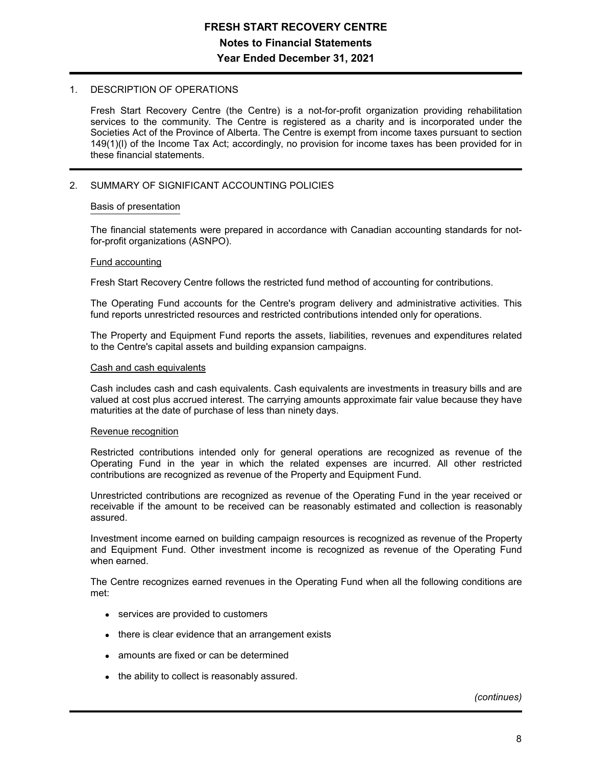## 1. DESCRIPTION OF OPERATIONS

Fresh Start Recovery Centre (the Centre) is a not-for-profit organization providing rehabilitation services to the community. The Centre is registered as a charity and is incorporated under the Societies Act of the Province of Alberta. The Centre is exempt from income taxes pursuant to section 149(1)(l) of the Income Tax Act; accordingly, no provision for income taxes has been provided for in these financial statements.

# 2. SUMMARY OF SIGNIFICANT ACCOUNTING POLICIES

### Basis of presentation

The financial statements were prepared in accordance with Canadian accounting standards for notfor-profit organizations (ASNPO).

#### Fund accounting

Fresh Start Recovery Centre follows the restricted fund method of accounting for contributions.

The Operating Fund accounts for the Centre's program delivery and administrative activities. This fund reports unrestricted resources and restricted contributions intended only for operations.

The Property and Equipment Fund reports the assets, liabilities, revenues and expenditures related to the Centre's capital assets and building expansion campaigns.

#### Cash and cash equivalents

Cash includes cash and cash equivalents. Cash equivalents are investments in treasury bills and are valued at cost plus accrued interest. The carrying amounts approximate fair value because they have maturities at the date of purchase of less than ninety days.

### Revenue recognition

Restricted contributions intended only for general operations are recognized as revenue of the Operating Fund in the year in which the related expenses are incurred. All other restricted contributions are recognized as revenue of the Property and Equipment Fund.

Unrestricted contributions are recognized as revenue of the Operating Fund in the year received or receivable if the amount to be received can be reasonably estimated and collection is reasonably assured.

Investment income earned on building campaign resources is recognized as revenue of the Property and Equipment Fund. Other investment income is recognized as revenue of the Operating Fund when earned.

The Centre recognizes earned revenues in the Operating Fund when all the following conditions are met:

- services are provided to customers
- there is clear evidence that an arrangement exists
- amounts are fixed or can be determined
- the ability to collect is reasonably assured.

*(continues)*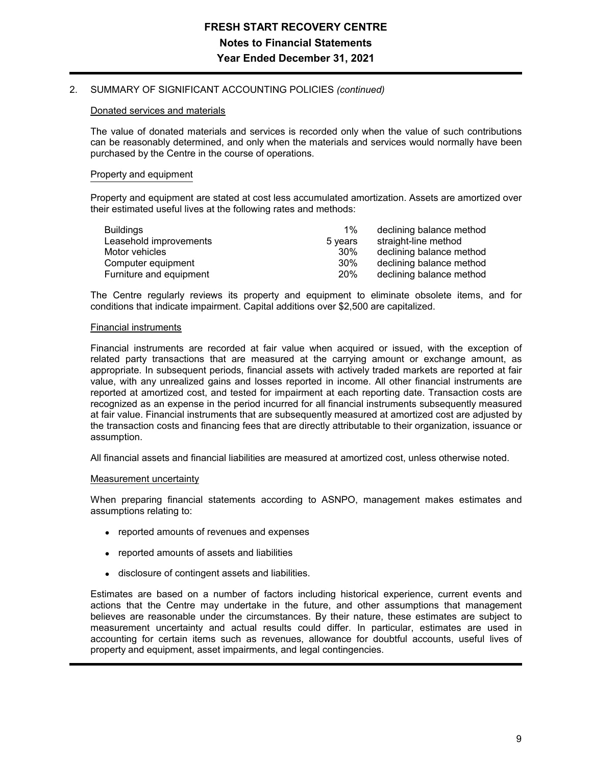## 2. SUMMARY OF SIGNIFICANT ACCOUNTING POLICIES *(continued)*

#### Donated services and materials

The value of donated materials and services is recorded only when the value of such contributions can be reasonably determined, and only when the materials and services would normally have been purchased by the Centre in the course of operations.

## Property and equipment

Property and equipment are stated at cost less accumulated amortization. Assets are amortized over their estimated useful lives at the following rates and methods:

| Buildings               | $1\%$      | declining balance method |
|-------------------------|------------|--------------------------|
| Leasehold improvements  | 5 vears    | straight-line method     |
| Motor vehicles          | 30%        | declining balance method |
| Computer equipment      | 30%        | declining balance method |
| Furniture and equipment | <b>20%</b> | declining balance method |

The Centre regularly reviews its property and equipment to eliminate obsolete items, and for conditions that indicate impairment. Capital additions over \$2,500 are capitalized.

#### Financial instruments

Financial instruments are recorded at fair value when acquired or issued, with the exception of related party transactions that are measured at the carrying amount or exchange amount, as appropriate. In subsequent periods, financial assets with actively traded markets are reported at fair value, with any unrealized gains and losses reported in income. All other financial instruments are reported at amortized cost, and tested for impairment at each reporting date. Transaction costs are recognized as an expense in the period incurred for all financial instruments subsequently measured at fair value. Financial instruments that are subsequently measured at amortized cost are adjusted by the transaction costs and financing fees that are directly attributable to their organization, issuance or assumption.

All financial assets and financial liabilities are measured at amortized cost, unless otherwise noted.

#### Measurement uncertainty

When preparing financial statements according to ASNPO, management makes estimates and assumptions relating to:

- reported amounts of revenues and expenses
- reported amounts of assets and liabilities
- disclosure of contingent assets and liabilities.

Estimates are based on a number of factors including historical experience, current events and actions that the Centre may undertake in the future, and other assumptions that management believes are reasonable under the circumstances. By their nature, these estimates are subject to measurement uncertainty and actual results could differ. In particular, estimates are used in accounting for certain items such as revenues, allowance for doubtful accounts, useful lives of property and equipment, asset impairments, and legal contingencies.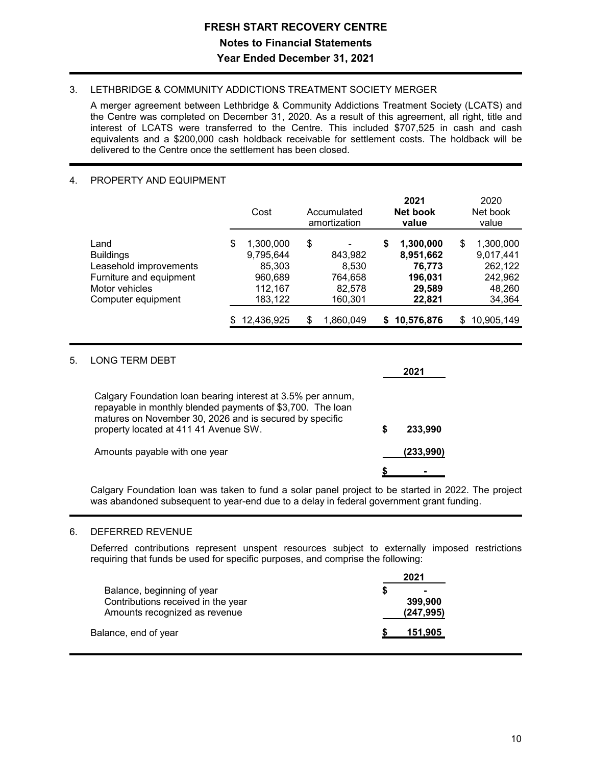# 3. LETHBRIDGE & COMMUNITY ADDICTIONS TREATMENT SOCIETY MERGER

A merger agreement between Lethbridge & Community Addictions Treatment Society (LCATS) and the Centre was completed on December 31, 2020. As a result of this agreement, all right, title and interest of LCATS were transferred to the Centre. This included \$707,525 in cash and cash equivalents and a \$200,000 cash holdback receivable for settlement costs. The holdback will be delivered to the Centre once the settlement has been closed.

# 4. PROPERTY AND EQUIPMENT

|                                                                                                 | Cost                                                         | Accumulated<br>amortization                 | 2021<br>Net book<br>value |                                                       | 2020<br>Net book<br>value                                    |
|-------------------------------------------------------------------------------------------------|--------------------------------------------------------------|---------------------------------------------|---------------------------|-------------------------------------------------------|--------------------------------------------------------------|
| Land<br><b>Buildings</b><br>Leasehold improvements<br>Furniture and equipment<br>Motor vehicles | \$<br>1,300,000<br>9,795,644<br>85,303<br>960,689<br>112,167 | \$<br>843,982<br>8,530<br>764,658<br>82,578 | \$                        | 1,300,000<br>8,951,662<br>76,773<br>196,031<br>29,589 | \$<br>1,300,000<br>9,017,441<br>262,122<br>242,962<br>48,260 |
| Computer equipment                                                                              | 183,122<br>12,436,925                                        | \$<br>160,301<br>1,860,049                  | S.                        | 22,821<br>10,576,876                                  | \$<br>34,364<br>10,905,149                                   |

# 5. LONG TERM DEBT

|                                                                                                                                                                                                                               |   | 2021      |
|-------------------------------------------------------------------------------------------------------------------------------------------------------------------------------------------------------------------------------|---|-----------|
| Calgary Foundation loan bearing interest at 3.5% per annum,<br>repayable in monthly blended payments of \$3,700. The loan<br>matures on November 30, 2026 and is secured by specific<br>property located at 411 41 Avenue SW. | S | 233.990   |
| Amounts payable with one year                                                                                                                                                                                                 |   | (233.990) |
|                                                                                                                                                                                                                               |   |           |

Calgary Foundation loan was taken to fund a solar panel project to be started in 2022. The project was abandoned subsequent to year-end due to a delay in federal government grant funding.

# 6. DEFERRED REVENUE

Deferred contributions represent unspent resources subject to externally imposed restrictions requiring that funds be used for specific purposes, and comprise the following:

|                                                                                                   | 2021                                         |  |
|---------------------------------------------------------------------------------------------------|----------------------------------------------|--|
| Balance, beginning of year<br>Contributions received in the year<br>Amounts recognized as revenue | S<br>$\blacksquare$<br>399,900<br>(247, 995) |  |
| Balance, end of year                                                                              | 151.905                                      |  |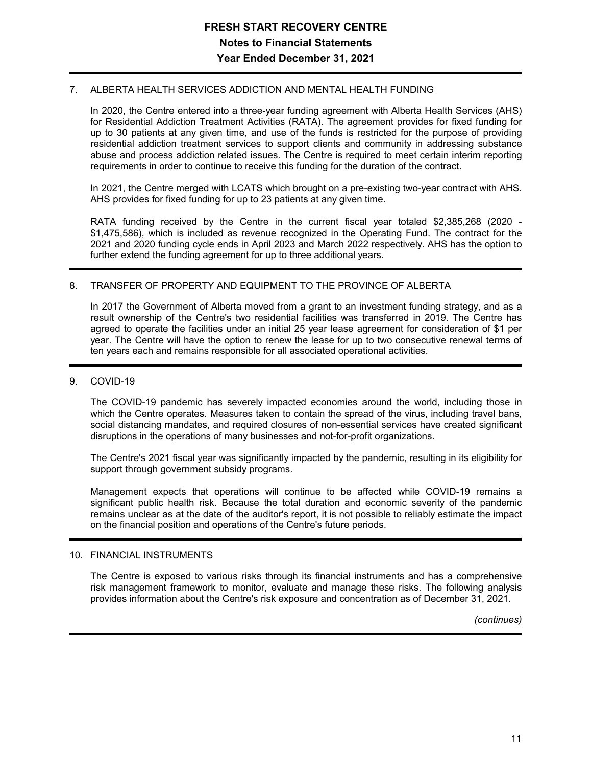## 7. ALBERTA HEALTH SERVICES ADDICTION AND MENTAL HEALTH FUNDING

In 2020, the Centre entered into a three-year funding agreement with Alberta Health Services (AHS) for Residential Addiction Treatment Activities (RATA). The agreement provides for fixed funding for up to 30 patients at any given time, and use of the funds is restricted for the purpose of providing residential addiction treatment services to support clients and community in addressing substance abuse and process addiction related issues. The Centre is required to meet certain interim reporting requirements in order to continue to receive this funding for the duration of the contract.

In 2021, the Centre merged with LCATS which brought on a pre-existing two-year contract with AHS. AHS provides for fixed funding for up to 23 patients at any given time.

RATA funding received by the Centre in the current fiscal year totaled \$2,385,268 (2020 - \$1,475,586), which is included as revenue recognized in the Operating Fund. The contract for the 2021 and 2020 funding cycle ends in April 2023 and March 2022 respectively. AHS has the option to further extend the funding agreement for up to three additional years.

## 8. TRANSFER OF PROPERTY AND EQUIPMENT TO THE PROVINCE OF ALBERTA

In 2017 the Government of Alberta moved from a grant to an investment funding strategy, and as a result ownership of the Centre's two residential facilities was transferred in 2019. The Centre has agreed to operate the facilities under an initial 25 year lease agreement for consideration of \$1 per year. The Centre will have the option to renew the lease for up to two consecutive renewal terms of ten years each and remains responsible for all associated operational activities.

## 9. COVID-19

The COVID-19 pandemic has severely impacted economies around the world, including those in which the Centre operates. Measures taken to contain the spread of the virus, including travel bans, social distancing mandates, and required closures of non-essential services have created significant disruptions in the operations of many businesses and not-for-profit organizations.

The Centre's 2021 fiscal year was significantly impacted by the pandemic, resulting in its eligibility for support through government subsidy programs.

Management expects that operations will continue to be affected while COVID-19 remains a significant public health risk. Because the total duration and economic severity of the pandemic remains unclear as at the date of the auditor's report, it is not possible to reliably estimate the impact on the financial position and operations of the Centre's future periods.

### 10. FINANCIAL INSTRUMENTS

The Centre is exposed to various risks through its financial instruments and has a comprehensive risk management framework to monitor, evaluate and manage these risks. The following analysis provides information about the Centre's risk exposure and concentration as of December 31, 2021.

*(continues)*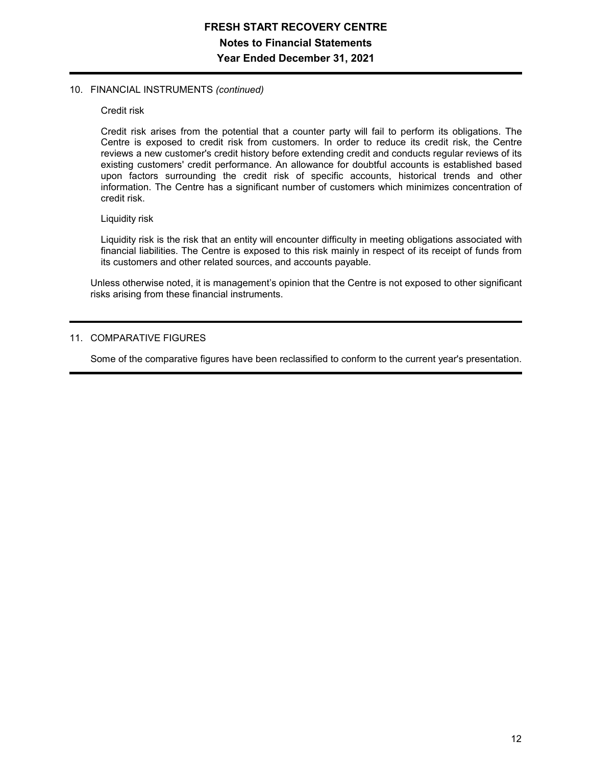## 10. FINANCIAL INSTRUMENTS *(continued)*

### Credit risk

Credit risk arises from the potential that a counter party will fail to perform its obligations. The Centre is exposed to credit risk from customers. In order to reduce its credit risk, the Centre reviews a new customer's credit history before extending credit and conducts regular reviews of its existing customers' credit performance. An allowance for doubtful accounts is established based upon factors surrounding the credit risk of specific accounts, historical trends and other information. The Centre has a significant number of customers which minimizes concentration of credit risk.

### Liquidity risk

Liquidity risk is the risk that an entity will encounter difficulty in meeting obligations associated with financial liabilities. The Centre is exposed to this risk mainly in respect of its receipt of funds from its customers and other related sources, and accounts payable.

Unless otherwise noted, it is management's opinion that the Centre is not exposed to other significant risks arising from these financial instruments.

# 11. COMPARATIVE FIGURES

Some of the comparative figures have been reclassified to conform to the current year's presentation.